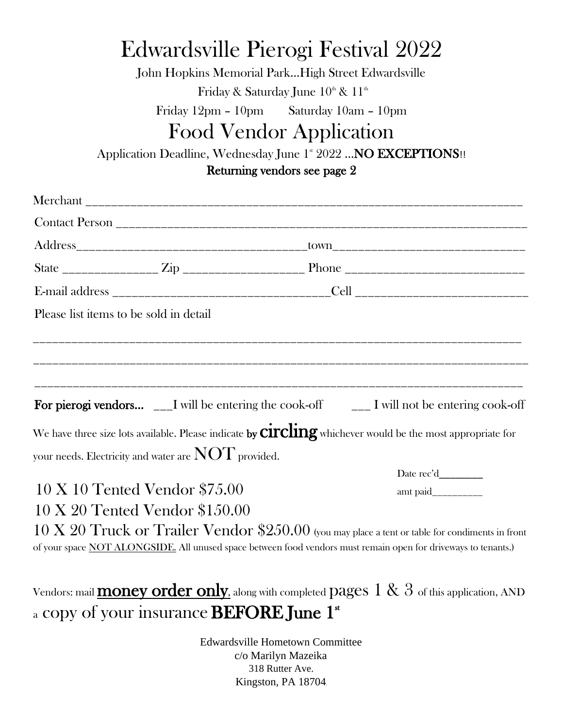# Edwardsville Pierogi Festival 2022

John Hopkins Memorial Park…High Street Edwardsville Friday & Saturday June  $10^{\text{\tiny th}}$  &  $11^{\text{\tiny th}}$ 

Friday 12pm – 10pm Saturday 10am – 10pm

# Food Vendor Application

Application Deadline, Wednesday June 1st 2022 ... NO EXCEPTIONS !!

Returning vendors see page 2

| Please list items to be sold in detail   |                                                            |                                                                                                                                                                                                                                      |  |
|------------------------------------------|------------------------------------------------------------|--------------------------------------------------------------------------------------------------------------------------------------------------------------------------------------------------------------------------------------|--|
|                                          |                                                            |                                                                                                                                                                                                                                      |  |
|                                          |                                                            | <b>For pierogi vendors</b> $\quad \_I$ will be entering the cook-off $\quad \_I$ I will not be entering cook-off                                                                                                                     |  |
|                                          |                                                            | We have three size lots available. Please indicate by $\operatorname{circling}$ whichever would be the most appropriate for                                                                                                          |  |
|                                          | your needs. Electricity and water are $\rm{NOT}$ provided. |                                                                                                                                                                                                                                      |  |
|                                          |                                                            | Date rec'd__________                                                                                                                                                                                                                 |  |
| $10 \text{ X } 10$ Tented Vendor \$75.00 |                                                            | amt paid___________                                                                                                                                                                                                                  |  |
|                                          | $10 \text{ X } 20 \text{ Tented Vendor } $150.00$          |                                                                                                                                                                                                                                      |  |
|                                          |                                                            | $10 \text{ X } 20 \text{ Truck or Trailer Vendor } $250.00$ (you may place a tent or table for condiments in front<br>of your space NOT ALONGSIDE. All unused space between food vendors must remain open for driveways to tenants.) |  |
|                                          | a copy of your insurance <b>BEFORE June 1<sup>st</sup></b> | Vendors: mail <b>money order only</b> , along with completed pages $1 & 8 & 3$ of this application, AND                                                                                                                              |  |

Edwardsville Hometown Committee c/o Marilyn Mazeika 318 Rutter Ave. Kingston, PA 18704.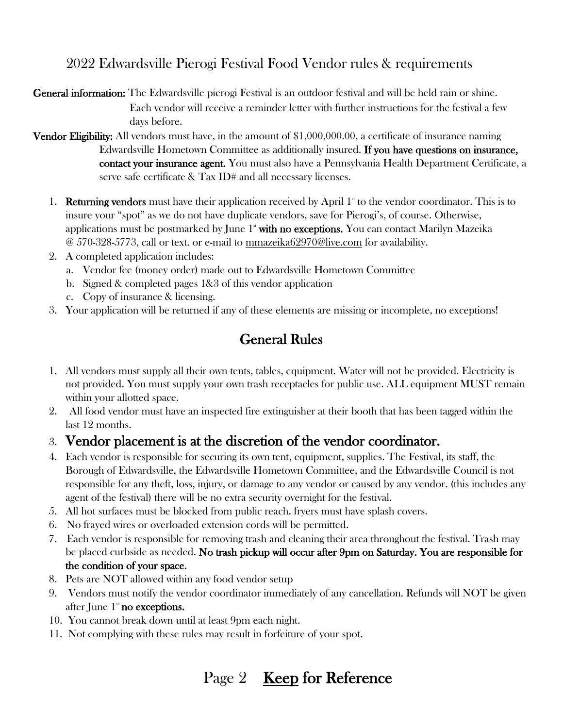#### 2022 Edwardsville Pierogi Festival Food Vendor rules & requirements

General information: The Edwardsville pierogi Festival is an outdoor festival and will be held rain or shine. Each vendor will receive a reminder letter with further instructions for the festival a few days before.

**Vendor Eligibility:** All vendors must have, in the amount of \$1,000,000.00, a certificate of insurance naming Edwardsville Hometown Committee as additionally insured. If you have questions on insurance, contact your insurance agent. You must also have a Pennsylvania Health Department Certificate, a serve safe certificate & Tax ID# and all necessary licenses.

- 1. **Returning vendors** must have their application received by April  $1^*$  to the vendor coordinator. This is to insure your "spot" as we do not have duplicate vendors, save for Pierogi's, of course. Otherwise, applications must be postmarked by June  $1^*$  with no exceptions. You can contact Marilyn Mazeika @ 570-328-5773, call or text. or e-mail to mmazeika62970@live.com for availability.
- 2. A completed application includes:
	- a. Vendor fee (money order) made out to Edwardsville Hometown Committee
	- b. Signed & completed pages 1&3 of this vendor application
	- c. Copy of insurance & licensing.
- 3. Your application will be returned if any of these elements are missing or incomplete, no exceptions!

#### General Rules

- 1. All vendors must supply all their own tents, tables, equipment. Water will not be provided. Electricity is not provided. You must supply your own trash receptacles for public use. ALL equipment MUST remain within your allotted space.
- 2. All food vendor must have an inspected fire extinguisher at their booth that has been tagged within the last 12 months.

#### 3. Vendor placement is at the discretion of the vendor coordinator.

- 4. Each vendor is responsible for securing its own tent, equipment, supplies. The Festival, its staff, the Borough of Edwardsville, the Edwardsville Hometown Committee, and the Edwardsville Council is not responsible for any theft, loss, injury, or damage to any vendor or caused by any vendor. (this includes any agent of the festival) there will be no extra security overnight for the festival.
- 5. All hot surfaces must be blocked from public reach. fryers must have splash covers.
- 6. No frayed wires or overloaded extension cords will be permitted.
- 7. Each vendor is responsible for removing trash and cleaning their area throughout the festival. Trash may be placed curbside as needed. No trash pickup will occur after 9pm on Saturday. You are responsible for the condition of your space.
- 8. Pets are NOT allowed within any food vendor setup
- 9. Vendors must notify the vendor coordinator immediately of any cancellation. Refunds will NOT be given after June  $1^*$  no exceptions.
- 10. You cannot break down until at least 9pm each night.
- 11. Not complying with these rules may result in forfeiture of your spot.

## Page 2 **Keep for Reference**